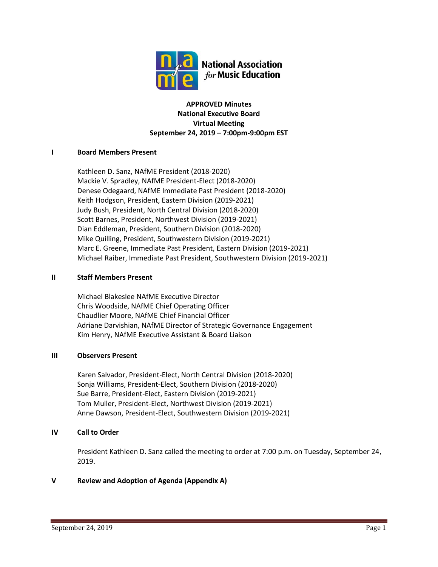

## **APPROVED Minutes National Executive Board Virtual Meeting September 24, 2019 – 7:00pm-9:00pm EST**

## **I Board Members Present**

Kathleen D. Sanz, NAfME President (2018-2020) Mackie V. Spradley, NAfME President-Elect (2018-2020) Denese Odegaard, NAfME Immediate Past President (2018-2020) Keith Hodgson, President, Eastern Division (2019-2021) Judy Bush, President, North Central Division (2018-2020) Scott Barnes, President, Northwest Division (2019-2021) Dian Eddleman, President, Southern Division (2018-2020) Mike Quilling, President, Southwestern Division (2019-2021) Marc E. Greene, Immediate Past President, Eastern Division (2019-2021) Michael Raiber, Immediate Past President, Southwestern Division (2019-2021)

### **II Staff Members Present**

Michael Blakeslee NAfME Executive Director Chris Woodside, NAfME Chief Operating Officer Chaudlier Moore, NAfME Chief Financial Officer Adriane Darvishian, NAfME Director of Strategic Governance Engagement Kim Henry, NAfME Executive Assistant & Board Liaison

### **III Observers Present**

Karen Salvador, President-Elect, North Central Division (2018-2020) Sonja Williams, President-Elect, Southern Division (2018-2020) Sue Barre, President-Elect, Eastern Division (2019-2021) Tom Muller, President-Elect, Northwest Division (2019-2021) Anne Dawson, President-Elect, Southwestern Division (2019-2021)

# **IV Call to Order**

President Kathleen D. Sanz called the meeting to order at 7:00 p.m. on Tuesday, September 24, 2019.

# **V Review and Adoption of Agenda (Appendix A)**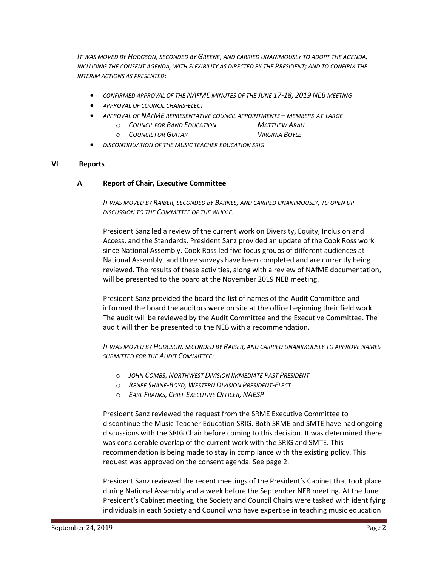*IT WAS MOVED BY HODGSON, SECONDED BY GREENE, AND CARRIED UNANIMOUSLY TO ADOPT THE AGENDA, INCLUDING THE CONSENT AGENDA, WITH FLEXIBILITY AS DIRECTED BY THE PRESIDENT; AND TO CONFIRM THE INTERIM ACTIONS AS PRESENTED:*

- *CONFIRMED APPROVAL OF THE NAFME MINUTES OF THE JUNE 17-18, 2019 NEB MEETING*
- *APPROVAL OF COUNCIL CHAIRS-ELECT*
- *APPROVAL OF NAFME REPRESENTATIVE COUNCIL APPOINTMENTS – MEMBERS-AT-LARGE*
	- o *COUNCIL FOR BAND EDUCATION MATTHEW ARAU*
	- o *COUNCIL FOR GUITAR VIRGINIA BOYLE*
		-
- *DISCONTINUATION OF THE MUSIC TEACHER EDUCATION SRIG*

#### **VI Reports**

#### **A Report of Chair, Executive Committee**

*IT WAS MOVED BY RAIBER, SECONDED BY BARNES, AND CARRIED UNANIMOUSLY, TO OPEN UP DISCUSSION TO THE COMMITTEE OF THE WHOLE.*

President Sanz led a review of the current work on Diversity, Equity, Inclusion and Access, and the Standards. President Sanz provided an update of the Cook Ross work since National Assembly. Cook Ross led five focus groups of different audiences at National Assembly, and three surveys have been completed and are currently being reviewed. The results of these activities, along with a review of NAfME documentation, will be presented to the board at the November 2019 NEB meeting.

President Sanz provided the board the list of names of the Audit Committee and informed the board the auditors were on site at the office beginning their field work. The audit will be reviewed by the Audit Committee and the Executive Committee. The audit will then be presented to the NEB with a recommendation.

*IT WAS MOVED BY HODGSON, SECONDED BY RAIBER, AND CARRIED UNANIMOUSLY TO APPROVE NAMES SUBMITTED FOR THE AUDIT COMMITTEE:*

- o *JOHN COMBS, NORTHWEST DIVISION IMMEDIATE PAST PRESIDENT*
- o *RENEE SHANE-BOYD, WESTERN DIVISION PRESIDENT-ELECT*
- o *EARL FRANKS, CHIEF EXECUTIVE OFFICER, NAESP*

President Sanz reviewed the request from the SRME Executive Committee to discontinue the Music Teacher Education SRIG. Both SRME and SMTE have had ongoing discussions with the SRIG Chair before coming to this decision. It was determined there was considerable overlap of the current work with the SRIG and SMTE. This recommendation is being made to stay in compliance with the existing policy. This request was approved on the consent agenda. See page 2.

President Sanz reviewed the recent meetings of the President's Cabinet that took place during National Assembly and a week before the September NEB meeting. At the June President's Cabinet meeting, the Society and Council Chairs were tasked with identifying individuals in each Society and Council who have expertise in teaching music education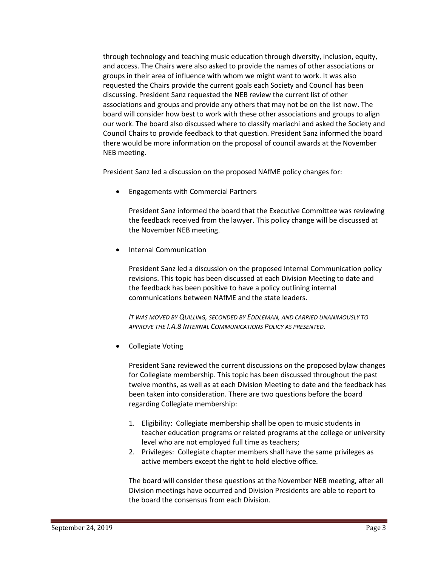through technology and teaching music education through diversity, inclusion, equity, and access. The Chairs were also asked to provide the names of other associations or groups in their area of influence with whom we might want to work. It was also requested the Chairs provide the current goals each Society and Council has been discussing. President Sanz requested the NEB review the current list of other associations and groups and provide any others that may not be on the list now. The board will consider how best to work with these other associations and groups to align our work. The board also discussed where to classify mariachi and asked the Society and Council Chairs to provide feedback to that question. President Sanz informed the board there would be more information on the proposal of council awards at the November NEB meeting.

President Sanz led a discussion on the proposed NAfME policy changes for:

• Engagements with Commercial Partners

President Sanz informed the board that the Executive Committee was reviewing the feedback received from the lawyer. This policy change will be discussed at the November NEB meeting.

• Internal Communication

President Sanz led a discussion on the proposed Internal Communication policy revisions. This topic has been discussed at each Division Meeting to date and the feedback has been positive to have a policy outlining internal communications between NAfME and the state leaders.

*IT WAS MOVED BY QUILLING, SECONDED BY EDDLEMAN, AND CARRIED UNANIMOUSLY TO APPROVE THE I.A.8 INTERNAL COMMUNICATIONS POLICY AS PRESENTED.*

• Collegiate Voting

President Sanz reviewed the current discussions on the proposed bylaw changes for Collegiate membership. This topic has been discussed throughout the past twelve months, as well as at each Division Meeting to date and the feedback has been taken into consideration. There are two questions before the board regarding Collegiate membership:

- 1. Eligibility: Collegiate membership shall be open to music students in teacher education programs or related programs at the college or university level who are not employed full time as teachers;
- 2. Privileges: Collegiate chapter members shall have the same privileges as active members except the right to hold elective office.

The board will consider these questions at the November NEB meeting, after all Division meetings have occurred and Division Presidents are able to report to the board the consensus from each Division.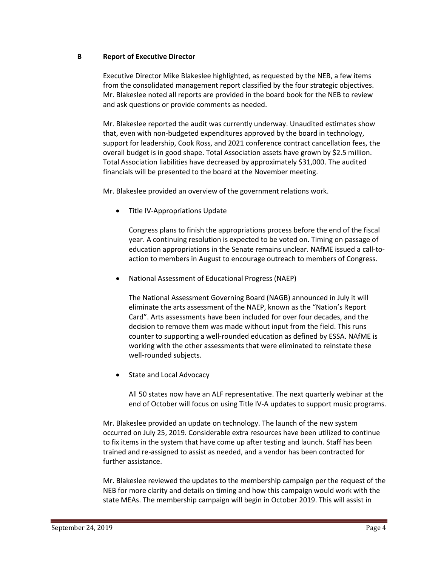### **B Report of Executive Director**

Executive Director Mike Blakeslee highlighted, as requested by the NEB, a few items from the consolidated management report classified by the four strategic objectives. Mr. Blakeslee noted all reports are provided in the board book for the NEB to review and ask questions or provide comments as needed.

Mr. Blakeslee reported the audit was currently underway. Unaudited estimates show that, even with non-budgeted expenditures approved by the board in technology, support for leadership, Cook Ross, and 2021 conference contract cancellation fees, the overall budget is in good shape. Total Association assets have grown by \$2.5 million. Total Association liabilities have decreased by approximately \$31,000. The audited financials will be presented to the board at the November meeting.

Mr. Blakeslee provided an overview of the government relations work.

• Title IV-Appropriations Update

Congress plans to finish the appropriations process before the end of the fiscal year. A continuing resolution is expected to be voted on. Timing on passage of education appropriations in the Senate remains unclear. NAfME issued a call-toaction to members in August to encourage outreach to members of Congress.

• National Assessment of Educational Progress (NAEP)

The National Assessment Governing Board (NAGB) announced in July it will eliminate the arts assessment of the NAEP, known as the "Nation's Report Card". Arts assessments have been included for over four decades, and the decision to remove them was made without input from the field. This runs counter to supporting a well-rounded education as defined by ESSA. NAfME is working with the other assessments that were eliminated to reinstate these well-rounded subjects.

State and Local Advocacy

All 50 states now have an ALF representative. The next quarterly webinar at the end of October will focus on using Title IV-A updates to support music programs.

Mr. Blakeslee provided an update on technology. The launch of the new system occurred on July 25, 2019. Considerable extra resources have been utilized to continue to fix items in the system that have come up after testing and launch. Staff has been trained and re-assigned to assist as needed, and a vendor has been contracted for further assistance.

Mr. Blakeslee reviewed the updates to the membership campaign per the request of the NEB for more clarity and details on timing and how this campaign would work with the state MEAs. The membership campaign will begin in October 2019. This will assist in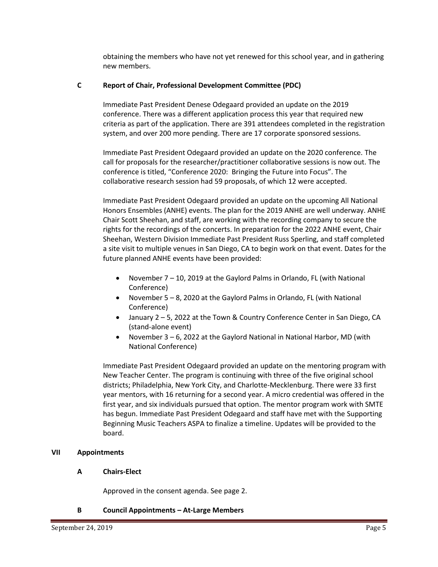obtaining the members who have not yet renewed for this school year, and in gathering new members.

## **C Report of Chair, Professional Development Committee (PDC)**

Immediate Past President Denese Odegaard provided an update on the 2019 conference. There was a different application process this year that required new criteria as part of the application. There are 391 attendees completed in the registration system, and over 200 more pending. There are 17 corporate sponsored sessions.

Immediate Past President Odegaard provided an update on the 2020 conference. The call for proposals for the researcher/practitioner collaborative sessions is now out. The conference is titled, "Conference 2020: Bringing the Future into Focus". The collaborative research session had 59 proposals, of which 12 were accepted.

Immediate Past President Odegaard provided an update on the upcoming All National Honors Ensembles (ANHE) events. The plan for the 2019 ANHE are well underway. ANHE Chair Scott Sheehan, and staff, are working with the recording company to secure the rights for the recordings of the concerts. In preparation for the 2022 ANHE event, Chair Sheehan, Western Division Immediate Past President Russ Sperling, and staff completed a site visit to multiple venues in San Diego, CA to begin work on that event. Dates for the future planned ANHE events have been provided:

- November 7 10, 2019 at the Gaylord Palms in Orlando, FL (with National Conference)
- November 5 8, 2020 at the Gaylord Palms in Orlando, FL (with National Conference)
- January 2 5, 2022 at the Town & Country Conference Center in San Diego, CA (stand-alone event)
- November 3 6, 2022 at the Gaylord National in National Harbor, MD (with National Conference)

Immediate Past President Odegaard provided an update on the mentoring program with New Teacher Center. The program is continuing with three of the five original school districts; Philadelphia, New York City, and Charlotte-Mecklenburg. There were 33 first year mentors, with 16 returning for a second year. A micro credential was offered in the first year, and six individuals pursued that option. The mentor program work with SMTE has begun. Immediate Past President Odegaard and staff have met with the Supporting Beginning Music Teachers ASPA to finalize a timeline. Updates will be provided to the board.

# **VII Appointments**

# **A Chairs-Elect**

Approved in the consent agenda. See page 2.

# **B Council Appointments – At-Large Members**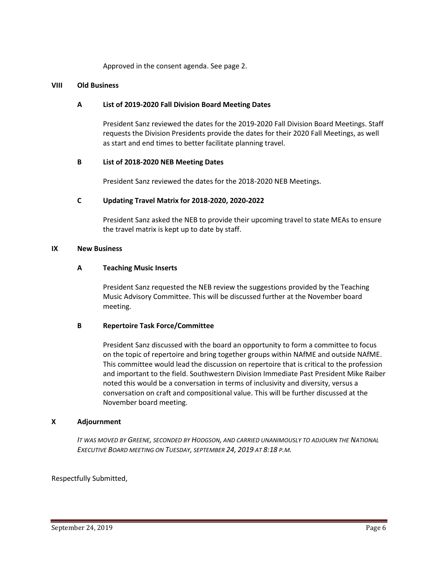Approved in the consent agenda. See page 2.

#### **VIII Old Business**

### **A List of 2019-2020 Fall Division Board Meeting Dates**

President Sanz reviewed the dates for the 2019-2020 Fall Division Board Meetings. Staff requests the Division Presidents provide the dates for their 2020 Fall Meetings, as well as start and end times to better facilitate planning travel.

#### **B List of 2018-2020 NEB Meeting Dates**

President Sanz reviewed the dates for the 2018-2020 NEB Meetings.

#### **C Updating Travel Matrix for 2018-2020, 2020-2022**

President Sanz asked the NEB to provide their upcoming travel to state MEAs to ensure the travel matrix is kept up to date by staff.

#### **IX New Business**

#### **A Teaching Music Inserts**

President Sanz requested the NEB review the suggestions provided by the Teaching Music Advisory Committee. This will be discussed further at the November board meeting.

### **B Repertoire Task Force/Committee**

President Sanz discussed with the board an opportunity to form a committee to focus on the topic of repertoire and bring together groups within NAfME and outside NAfME. This committee would lead the discussion on repertoire that is critical to the profession and important to the field. Southwestern Division Immediate Past President Mike Raiber noted this would be a conversation in terms of inclusivity and diversity, versus a conversation on craft and compositional value. This will be further discussed at the November board meeting.

#### **X Adjournment**

*IT WAS MOVED BY GREENE, SECONDED BY HODGSON, AND CARRIED UNANIMOUSLY TO ADJOURN THE NATIONAL EXECUTIVE BOARD MEETING ON TUESDAY, SEPTEMBER 24, 2019 AT 8:18 P.M.*

### Respectfully Submitted,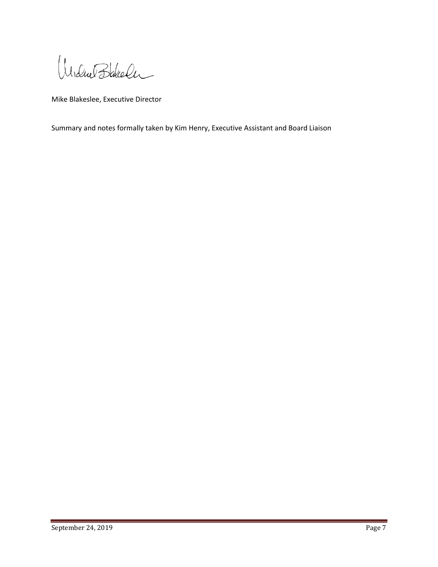Undue Bakeler

Mike Blakeslee, Executive Director

Summary and notes formally taken by Kim Henry, Executive Assistant and Board Liaison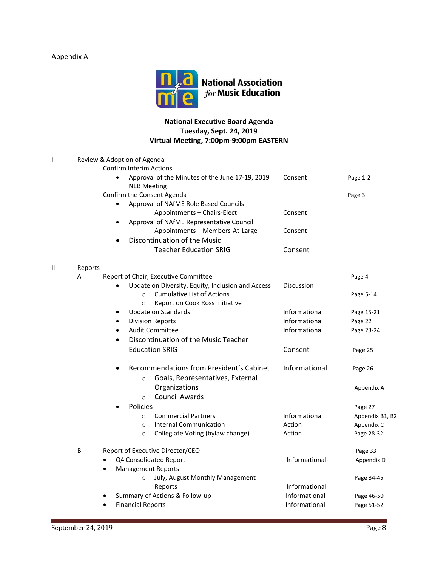# Appendix A



# **National Executive Board Agenda Tuesday, Sept. 24, 2019 Virtual Meeting, 7:00pm-9:00pm EASTERN**

|   |         | Review & Adoption of Agenda                                           |                   |                 |
|---|---------|-----------------------------------------------------------------------|-------------------|-----------------|
|   |         | <b>Confirm Interim Actions</b>                                        |                   |                 |
|   |         | Approval of the Minutes of the June 17-19, 2019<br><b>NEB Meeting</b> | Consent           | Page 1-2        |
|   |         | Confirm the Consent Agenda                                            |                   | Page 3          |
|   |         | Approval of NAfME Role Based Councils<br>$\bullet$                    |                   |                 |
|   |         | Appointments - Chairs-Elect                                           | Consent           |                 |
|   |         | Approval of NAfME Representative Council<br>$\bullet$                 |                   |                 |
|   |         | Appointments - Members-At-Large                                       | Consent           |                 |
|   |         | Discontinuation of the Music                                          |                   |                 |
|   |         | <b>Teacher Education SRIG</b>                                         | Consent           |                 |
| П | Reports |                                                                       |                   |                 |
|   | Α       | Report of Chair, Executive Committee                                  |                   | Page 4          |
|   |         | Update on Diversity, Equity, Inclusion and Access                     | <b>Discussion</b> |                 |
|   |         | <b>Cumulative List of Actions</b><br>$\Omega$                         |                   | Page 5-14       |
|   |         | Report on Cook Ross Initiative<br>$\circ$                             |                   |                 |
|   |         | Update on Standards<br>٠                                              | Informational     | Page 15-21      |
|   |         | <b>Division Reports</b>                                               | Informational     | Page 22         |
|   |         | <b>Audit Committee</b><br>$\bullet$                                   | Informational     | Page 23-24      |
|   |         | Discontinuation of the Music Teacher<br>$\bullet$                     |                   |                 |
|   |         | <b>Education SRIG</b>                                                 | Consent           | Page 25         |
|   |         | Recommendations from President's Cabinet                              | Informational     | Page 26         |
|   |         | Goals, Representatives, External<br>$\circ$                           |                   |                 |
|   |         | Organizations                                                         |                   | Appendix A      |
|   |         | <b>Council Awards</b><br>$\circ$                                      |                   |                 |
|   |         | Policies                                                              |                   | Page 27         |
|   |         | <b>Commercial Partners</b><br>$\circ$                                 | Informational     | Appendix B1, B2 |
|   |         | <b>Internal Communication</b><br>$\circ$                              | Action            | Appendix C      |
|   |         | Collegiate Voting (bylaw change)<br>$\circ$                           | Action            | Page 28-32      |
|   | B       | Report of Executive Director/CEO                                      |                   | Page 33         |
|   |         | Q4 Consolidated Report<br>$\bullet$                                   | Informational     | Appendix D      |
|   |         | <b>Management Reports</b>                                             |                   |                 |
|   |         | July, August Monthly Management<br>$\circ$                            |                   | Page 34-45      |
|   |         | Reports                                                               | Informational     |                 |
|   |         | Summary of Actions & Follow-up                                        | Informational     | Page 46-50      |
|   |         | <b>Financial Reports</b><br>$\bullet$                                 | Informational     | Page 51-52      |